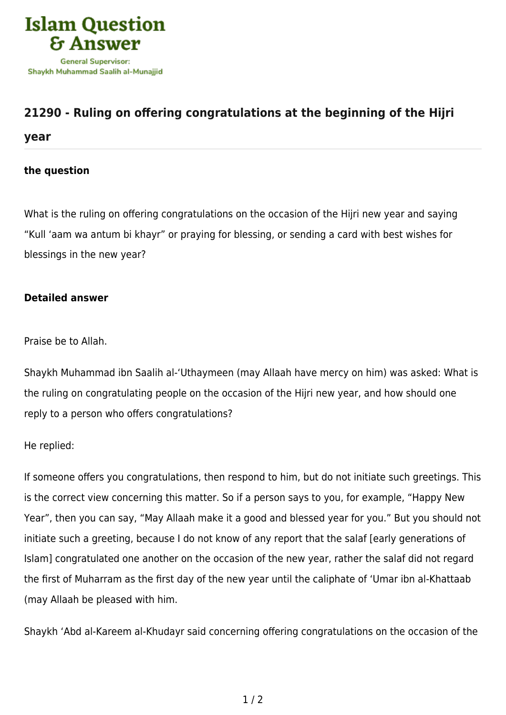

## **[21290 - Ruling on offering congratulations at the beginning of the Hijri](https://islamqa.com/en/answers/21290/ruling-on-offering-congratulations-at-the-beginning-of-the-hijri-year)**

**[year](https://islamqa.com/en/answers/21290/ruling-on-offering-congratulations-at-the-beginning-of-the-hijri-year)**

## **the question**

What is the ruling on offering congratulations on the occasion of the Hijri new year and saying "Kull 'aam wa antum bi khayr" or praying for blessing, or sending a card with best wishes for blessings in the new year?

## **Detailed answer**

Praise be to Allah.

Shaykh Muhammad ibn Saalih al-'Uthaymeen (may Allaah have mercy on him) was asked: What is the ruling on congratulating people on the occasion of the Hijri new year, and how should one reply to a person who offers congratulations?

He replied:

If someone offers you congratulations, then respond to him, but do not initiate such greetings. This is the correct view concerning this matter. So if a person says to you, for example, "Happy New Year", then you can say, "May Allaah make it a good and blessed year for you." But you should not initiate such a greeting, because I do not know of any report that the salaf [early generations of Islam] congratulated one another on the occasion of the new year, rather the salaf did not regard the first of Muharram as the first day of the new year until the caliphate of 'Umar ibn al-Khattaab (may Allaah be pleased with him.

Shaykh 'Abd al-Kareem al-Khudayr said concerning offering congratulations on the occasion of the